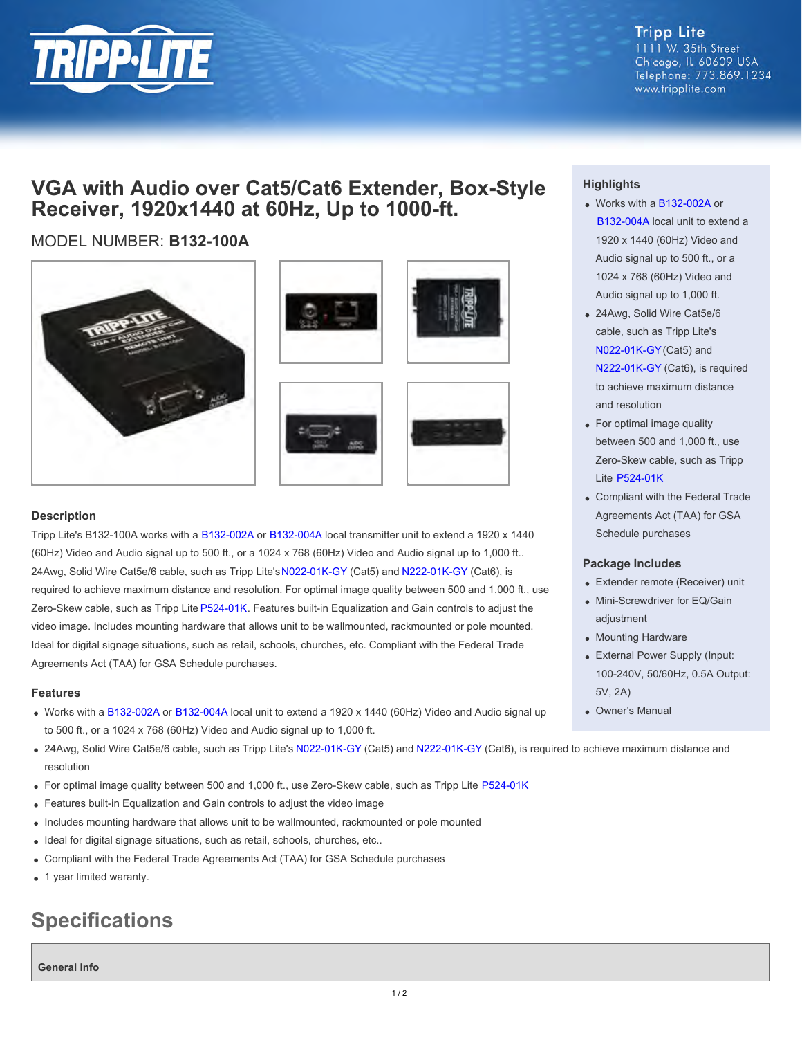

**Tripp Lite** 1111 W. 35th Street Chicago, IL 60609 USA Telephone: 773.869.1234 www.tripplite.com

# **VGA with Audio over Cat5/Cat6 Extender, Box-Style Receiver, 1920x1440 at 60Hz, Up to 1000-ft.**

# MODEL NUMBER: **B132-100A**









### **Description**

Tripp Lite's B132-100A works with a [B132-002A](http://www.tripplite.com/en/products/model.cfm?txtmodelid=4617) or [B132-004A](http://www.tripplite.com/en/products/model.cfm?txtseriesid=787&txtmodelid=4292) local transmitter unit to extend a 1920 x 1440 (60Hz) Video and Audio signal up to 500 ft., or a 1024 x 768 (60Hz) Video and Audio signal up to 1,000 ft.. 24Awg, Solid Wire Cat5e/6 cable, such as Tripp Lite's [N022-01K-GY](http://www.tripplite.com/en/products/model.cfm?txtmodelid=2140) (Cat5) and [N222-01K-GY](http://www.tripplite.com/en/products/model.cfm?txtmodelid=2523) (Cat6), is required to achieve maximum distance and resolution. For optimal image quality between 500 and 1,000 ft., use Zero-Skew cable, such as Tripp Lite [P524-01K](http://www.tripplite.com/en/products/model.cfm?txtmodelid=4209). Features built-in Equalization and Gain controls to adjust the video image. Includes mounting hardware that allows unit to be wallmounted, rackmounted or pole mounted. Ideal for digital signage situations, such as retail, schools, churches, etc. Compliant with the Federal Trade Agreements Act (TAA) for GSA Schedule purchases.

#### **Features**

- Works with a [B132-002A](http://www.tripplite.com/en/products/model.cfm?txtmodelid=4617) or [B132-004A](http://www.tripplite.com/en/products/model.cfm?txtseriesid=787&txtmodelid=4292) local unit to extend a 1920 x 1440 (60Hz) Video and Audio signal up to 500 ft., or a 1024 x 768 (60Hz) Video and Audio signal up to 1,000 ft.
- 24Awg, Solid Wire Cat5e/6 cable, such as Tripp Lite's [N022-01K-GY](http://www.tripplite.com/en/products/model.cfm?txtmodelid=2140) (Cat5) and [N222-01K-GY](http://www.tripplite.com/en/products/model.cfm?txtmodelid=2523) (Cat6), is required to achieve maximum distance and resolution
- For optimal image quality between 500 and 1,000 ft., use Zero-Skew cable, such as Tripp Lite [P524-01K](http://www.tripplite.com/en/products/model.cfm?txtmodelid=4209)
- Features built-in Equalization and Gain controls to adjust the video image
- Includes mounting hardware that allows unit to be wallmounted, rackmounted or pole mounted
- Ideal for digital signage situations, such as retail, schools, churches, etc..
- Compliant with the Federal Trade Agreements Act (TAA) for GSA Schedule purchases
- 1 year limited waranty.

# **Specifications**

**General Info**

## **Highlights**

- Works with a [B132-002A](http://www.tripplite.com/en/products/model.cfm?txtmodelid=4617) or [B132-004A](http://www.tripplite.com/en/products/model.cfm?txtseriesid=787&txtmodelid=4292) local unit to extend a 1920 x 1440 (60Hz) Video and Audio signal up to 500 ft., or a 1024 x 768 (60Hz) Video and Audio signal up to 1,000 ft.
- 24Awg, Solid Wire Cat5e/6 cable, such as Tripp Lite's [N022-01K-GY](http://www.tripplite.com/en/products/model.cfm?txtmodelid=2140) (Cat5) and [N222-01K-GY](http://www.tripplite.com/en/products/model.cfm?txtmodelid=2523) (Cat6), is required to achieve maximum distance and resolution
- For optimal image quality between 500 and 1,000 ft., use Zero-Skew cable, such as Tripp Lite [P524-01K](http://www.tripplite.com/en/products/model.cfm?txtmodelid=4209)
- Compliant with the Federal Trade Agreements Act (TAA) for GSA Schedule purchases

#### **Package Includes**

- Extender remote (Receiver) unit
- Mini-Screwdriver for EQ/Gain adjustment
- Mounting Hardware
- External Power Supply (Input: 100-240V, 50/60Hz, 0.5A Output: 5V, 2A)
- Owner's Manual